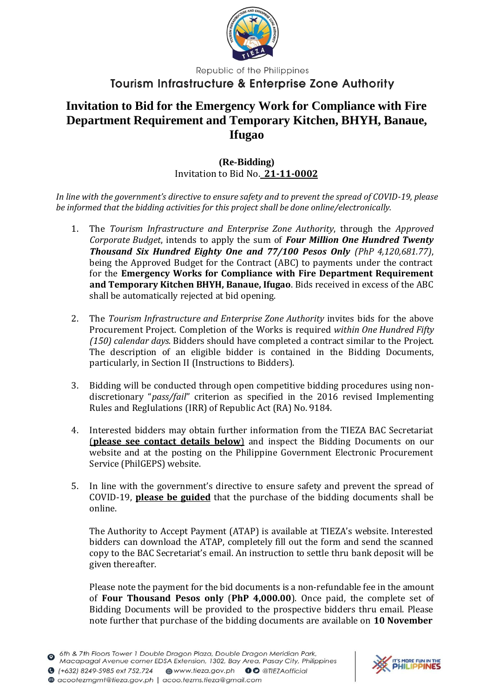

Republic of the Philippines

## **Tourism Infrastructure & Enterprise Zone Authority**

## **Invitation to Bid for the Emergency Work for Compliance with Fire Department Requirement and Temporary Kitchen, BHYH, Banaue, Ifugao**

## **(Re-Bidding)** Invitation to Bid No. **21-11-0002**

*In line with the government's directive to ensure safety and to prevent the spread of COVID-19, please be informed that the bidding activities for this project shall be done online/electronically.*

- 1. The *Tourism Infrastructure and Enterprise Zone Authority*, through the *Approved Corporate Budget*, intends to apply the sum of *Four Million One Hundred Twenty Thousand Six Hundred Eighty One and 77/100 Pesos Only (PhP 4,120,681.77)*, being the Approved Budget for the Contract (ABC) to payments under the contract for the **Emergency Works for Compliance with Fire Department Requirement and Temporary Kitchen BHYH, Banaue, Ifugao**. Bids received in excess of the ABC shall be automatically rejected at bid opening.
- 2. The *Tourism Infrastructure and Enterprise Zone Authority* invites bids for the above Procurement Project. Completion of the Works is required *within One Hundred Fifty (150) calendar days.* Bidders should have completed a contract similar to the Project. The description of an eligible bidder is contained in the Bidding Documents, particularly, in Section II (Instructions to Bidders).
- 3. Bidding will be conducted through open competitive bidding procedures using nondiscretionary "*pass/fail*" criterion as specified in the 2016 revised Implementing Rules and RegIulations (IRR) of Republic Act (RA) No. 9184.
- 4. Interested bidders may obtain further information from the TIEZA BAC Secretariat (**please see contact details below**) and inspect the Bidding Documents on our website and at the posting on the Philippine Government Electronic Procurement Service (PhilGEPS) website.
- 5. In line with the government's directive to ensure safety and prevent the spread of COVID-19, **please be guided** that the purchase of the bidding documents shall be online.

The Authority to Accept Payment (ATAP) is available at TIEZA's website. Interested bidders can download the ATAP, completely fill out the form and send the scanned copy to the BAC Secretariat's email. An instruction to settle thru bank deposit will be given thereafter.

Please note the payment for the bid documents is a non-refundable fee in the amount of **Four Thousand Pesos only** (**PhP 4,000.00**). Once paid, the complete set of Bidding Documents will be provided to the prospective bidders thru email. Please note further that purchase of the bidding documents are available on **10 November**

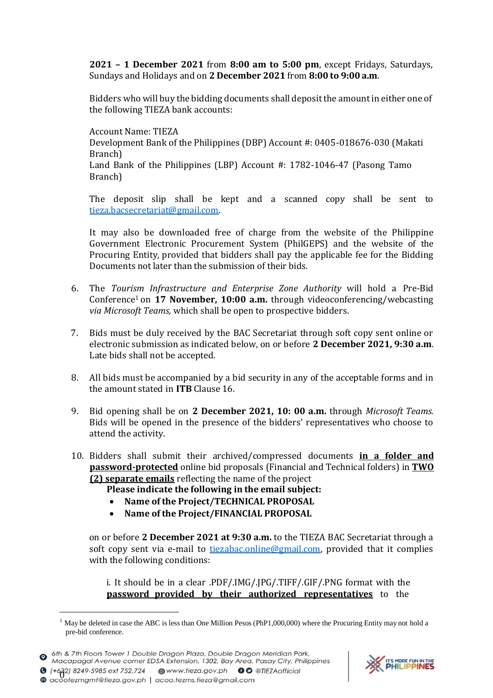**2021 – 1 December 2021** from **8:00 am to 5:00 pm**, except Fridays, Saturdays, Sundays and Holidays and on **2 December 2021** from **8:00 to 9:00 a.m**.

Bidders who will buy the bidding documents shall deposit the amount in either one of the following TIEZA bank accounts:

Account Name: TIEZA Development Bank of the Philippines (DBP) Account #: 0405-018676-030 (Makati Branch) Land Bank of the Philippines (LBP) Account #: 1782-1046-47 (Pasong Tamo Branch)

The deposit slip shall be kept and a scanned copy shall be sent to [tieza.bacsecretariat@gmail.com.](mailto:tieza.bacsecretariat@gmail.com)

It may also be downloaded free of charge from the website of the Philippine Government Electronic Procurement System (PhilGEPS) and the website of the Procuring Entity*,* provided that bidders shall pay the applicable fee for the Bidding Documents not later than the submission of their bids.

- 6. The *Tourism Infrastructure and Enterprise Zone Authority* will hold a Pre-Bid Conference<sup>1</sup> on **17 November, 10:00 a.m.** through videoconferencing/webcasting *via Microsoft Teams,* which shall be open to prospective bidders.
- 7. Bids must be duly received by the BAC Secretariat through soft copy sent online or electronic submission as indicated below, on or before **2 December 2021, 9:30 a.m**. Late bids shall not be accepted.
- 8. All bids must be accompanied by a bid security in any of the acceptable forms and in the amount stated in **ITB** Clause 16.
- 9. Bid opening shall be on **2 December 2021, 10: 00 a.m.** through *Microsoft Teams.* Bids will be opened in the presence of the bidders' representatives who choose to attend the activity.
- 10. Bidders shall submit their archived/compressed documents **in a folder and password-protected** online bid proposals (Financial and Technical folders) in **TWO (2) separate emails** reflecting the name of the project

**Please indicate the following in the email subject:**

- **Name of the Project/TECHNICAL PROPOSAL**
- **Name of the Project/FINANCIAL PROPOSAL**

on or before **2 December 2021 at 9:30 a.m.** to the TIEZA BAC Secretariat through a soft copy sent via e-mail to [tiezabac.online@gmail.com,](mailto:tiezabac.online@gmail.com) provided that it complies with the following conditions:

i. It should be in a clear .PDF/.IMG/.JPG/.TIFF/.GIF/.PNG format with the **password provided by their authorized representatives** to the



 $1$  May be deleted in case the ABC is less than One Million Pesos (PhP1,000,000) where the Procuring Entity may not hold a pre-bid conference.